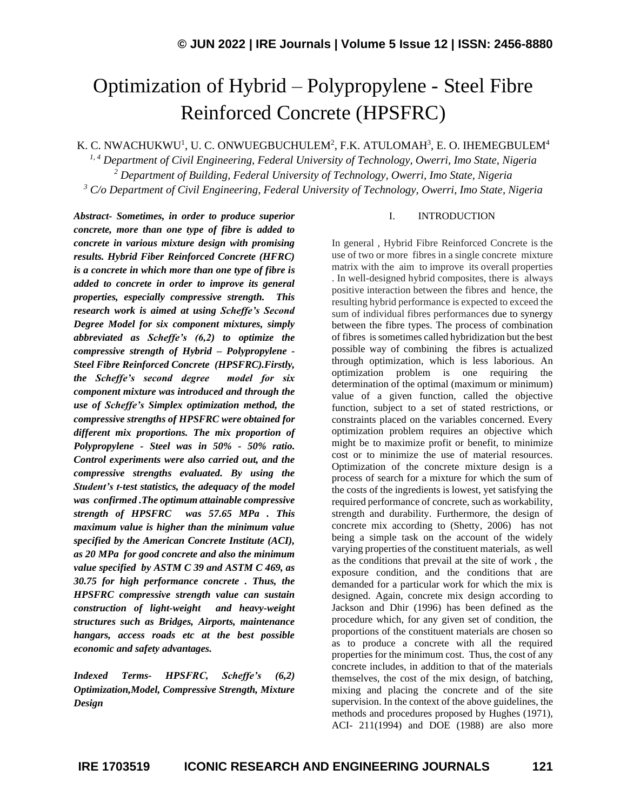# Optimization of Hybrid – Polypropylene - Steel Fibre Reinforced Concrete (HPSFRC)

K. C. NWACHUKWU<sup>1</sup>, U. C. ONWUEGBUCHULEM $^2$ , F.K. ATULOMAH $^3$ , E. O. IHEMEGBULEM $^4$ 

*1, 4 Department of Civil Engineering, Federal University of Technology, Owerri, Imo State, Nigeria <sup>2</sup> Department of Building, Federal University of Technology, Owerri, Imo State, Nigeria <sup>3</sup> C/o Department of Civil Engineering, Federal University of Technology, Owerri, Imo State, Nigeria*

*Abstract- Sometimes, in order to produce superior concrete, more than one type of fibre is added to concrete in various mixture design with promising results. Hybrid Fiber Reinforced Concrete (HFRC) is a concrete in which more than one type of fibre is added to concrete in order to improve its general properties, especially compressive strength. This research work is aimed at using Scheffe's Second Degree Model for six component mixtures, simply abbreviated as Scheffe's (6,2) to optimize the compressive strength of Hybrid – Polypropylene - Steel Fibre Reinforced Concrete (HPSFRC).Firstly, the Scheffe's second degree model for six component mixture was introduced and through the use of Scheffe's Simplex optimization method, the compressive strengths of HPSFRC were obtained for different mix proportions. The mix proportion of Polypropylene - Steel was in 50% - 50% ratio. Control experiments were also carried out, and the compressive strengths evaluated. By using the Student's t-test statistics, the adequacy of the model was confirmed .The optimum attainable compressive strength of HPSFRC was 57.65 MPa . This maximum value is higher than the minimum value specified by the American Concrete Institute (ACI), as 20 MPa for good concrete and also the minimum value specified by ASTM C 39 and ASTM C 469, as 30.75 for high performance concrete . Thus, the HPSFRC compressive strength value can sustain construction of light-weight and heavy-weight structures such as Bridges, Airports, maintenance hangars, access roads etc at the best possible economic and safety advantages.*

*Indexed Terms- HPSFRC, Scheffe's (6,2) Optimization,Model, Compressive Strength, Mixture Design*

#### I. INTRODUCTION

In general , Hybrid Fibre Reinforced Concrete is the use of two or more fibres in a single concrete mixture matrix with the aim to improve its overall properties . In well-designed hybrid composites, there is always positive interaction between the fibres and hence, the resulting hybrid performance is expected to exceed the sum of individual fibres performances due to synergy between the fibre types. The process of combination of fibres issometimes called hybridization but the best possible way of combining the fibres is actualized through optimization, which is less laborious. An optimization problem is one requiring the determination of the optimal (maximum or minimum) value of a given function, called the objective function, subject to a set of stated restrictions, or constraints placed on the variables concerned. Every optimization problem requires an objective which might be to maximize profit or benefit, to minimize cost or to minimize the use of material resources. Optimization of the concrete mixture design is a process of search for a mixture for which the sum of the costs of the ingredients is lowest, yet satisfying the required performance of concrete, such as workability, strength and durability. Furthermore, the design of concrete mix according to (Shetty, 2006) has not being a simple task on the account of the widely varying properties of the constituent materials, as well as the conditions that prevail at the site of work , the exposure condition, and the conditions that are demanded for a particular work for which the mix is designed. Again, concrete mix design according to Jackson and Dhir (1996) has been defined as the procedure which, for any given set of condition, the proportions of the constituent materials are chosen so as to produce a concrete with all the required properties for the minimum cost. Thus, the cost of any concrete includes, in addition to that of the materials themselves, the cost of the mix design, of batching, mixing and placing the concrete and of the site supervision. In the context of the above guidelines, the methods and procedures proposed by Hughes (1971), ACI- 211(1994) and DOE (1988) are also more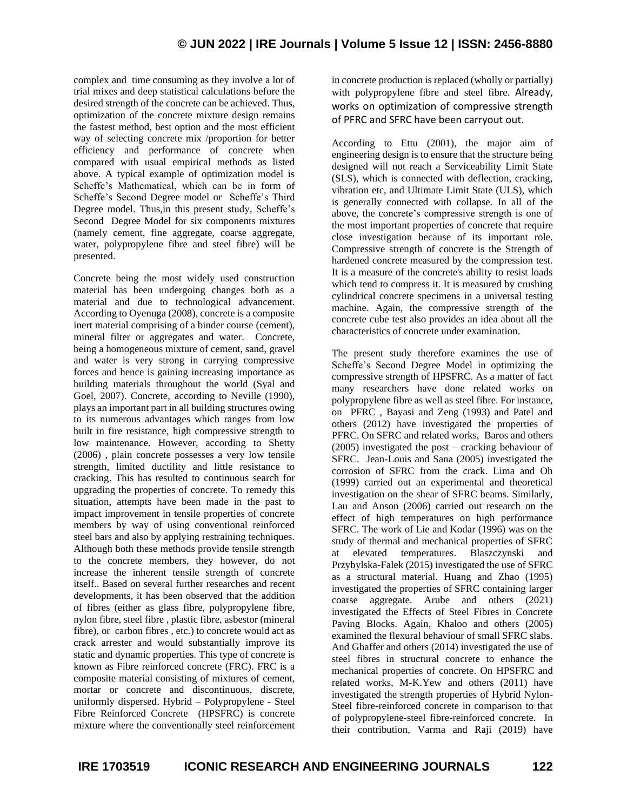complex and time consuming as they involve a lot of trial mixes and deep statistical calculations before the desired strength of the concrete can be achieved. Thus, optimization of the concrete mixture design remains the fastest method, best option and the most efficient way of selecting concrete mix /proportion for better efficiency and performance of concrete when compared with usual empirical methods as listed above. A typical example of optimization model is Scheffe's Mathematical, which can be in form of Scheffe's Second Degree model or Scheffe's Third Degree model. Thus,in this present study, Scheffe's Second Degree Model for six components mixtures (namely cement, fine aggregate, coarse aggregate, water, polypropylene fibre and steel fibre) will be presented.

Concrete being the most widely used construction material has been undergoing changes both as a material and due to technological advancement. According to Oyenuga (2008), concrete is a composite inert material comprising of a binder course (cement), mineral filter or aggregates and water. Concrete, being a homogeneous mixture of cement, sand, gravel and water is very strong in carrying compressive forces and hence is gaining increasing importance as building materials throughout the world (Syal and Goel, 2007). Concrete, according to Neville (1990), plays an important part in all building structures owing to its numerous advantages which ranges from low built in fire resistance, high compressive strength to low maintenance. However, according to Shetty (2006) , plain concrete possesses a very low tensile strength, limited ductility and little resistance to cracking. This has resulted to continuous search for upgrading the properties of concrete. To remedy this situation, attempts have been made in the past to impact improvement in tensile properties of concrete members by way of using conventional reinforced steel bars and also by applying restraining techniques. Although both these methods provide tensile strength to the concrete members, they however, do not increase the inherent tensile strength of concrete itself.. Based on several further researches and recent developments, it has been observed that the addition of fibres (either as glass fibre, polypropylene fibre, nylon fibre, steel fibre , plastic fibre, asbestor (mineral fibre), or carbon fibres , etc.) to concrete would act as crack arrester and would substantially improve its static and dynamic properties. This type of concrete is known as Fibre reinforced concrete (FRC). FRC is a composite material consisting of mixtures of cement, mortar or concrete and discontinuous, discrete, uniformly dispersed. Hybrid – Polypropylene - Steel Fibre Reinforced Concrete (HPSFRC) is concrete mixture where the conventionally steel reinforcement

in concrete production is replaced (wholly or partially) with polypropylene fibre and steel fibre. Already, works on optimization of compressive strength of PFRC and SFRC have been carryout out.

According to Ettu (2001), the major aim of engineering design is to ensure that the structure being designed will not reach a Serviceability Limit State (SLS), which is connected with deflection, cracking, vibration etc, and Ultimate Limit State (ULS), which is generally connected with collapse. In all of the above, the concrete's compressive strength is one of the most important properties of concrete that require close investigation because of its important role. Compressive strength of concrete is the Strength of hardened concrete measured by the compression test. It is a measure of the concrete's ability to resist loads which tend to compress it. It is measured by crushing cylindrical concrete specimens in a universal testing machine. Again, the compressive strength of the concrete cube test also provides an idea about all the characteristics of concrete under examination.

The present study therefore examines the use of Scheffe's Second Degree Model in optimizing the compressive strength of HPSFRC. As a matter of fact many researchers have done related works on polypropylene fibre as well as steel fibre. For instance, on PFRC , Bayasi and Zeng (1993) and Patel and others (2012) have investigated the properties of PFRC. On SFRC and related works, Baros and others (2005) investigated the post – cracking behaviour of SFRC. Jean-Louis and Sana (2005) investigated the corrosion of SFRC from the crack. Lima and Oh (1999) carried out an experimental and theoretical investigation on the shear of SFRC beams. Similarly, Lau and Anson (2006) carried out research on the effect of high temperatures on high performance SFRC. The work of Lie and Kodar (1996) was on the study of thermal and mechanical properties of SFRC at elevated temperatures. Blaszczynski and Przybylska-Falek (2015) investigated the use of SFRC as a structural material. Huang and Zhao (1995) investigated the properties of SFRC containing larger coarse aggregate. Arube and others (2021) investigated the Effects of Steel Fibres in Concrete Paving Blocks. Again, Khaloo and others (2005) examined the flexural behaviour of small SFRC slabs. And Ghaffer and others (2014) investigated the use of steel fibres in structural concrete to enhance the mechanical properties of concrete. On HPSFRC and related works, M-K.Yew and others (2011) have investigated the strength properties of Hybrid Nylon-Steel fibre-reinforced concrete in comparison to that of polypropylene-steel fibre-reinforced concrete. In their contribution, Varma and Raji (2019) have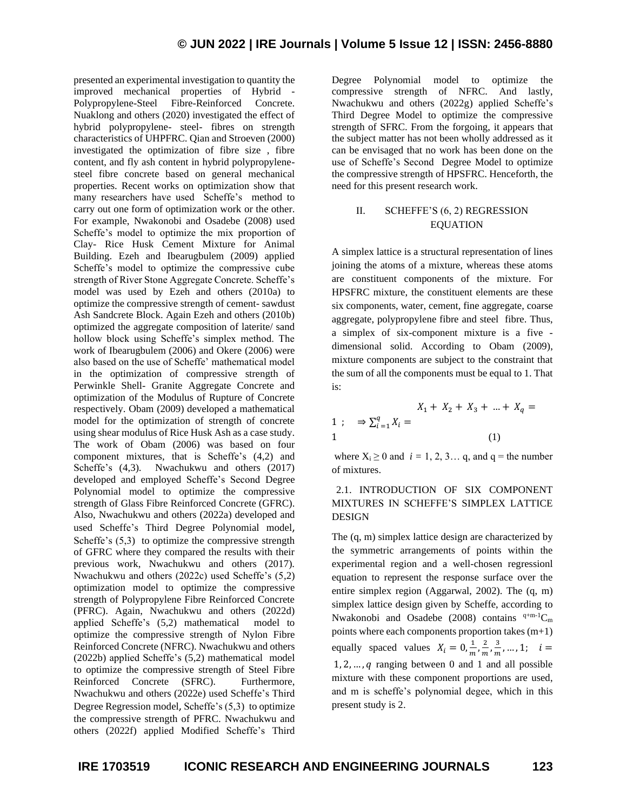presented an experimental investigation to quantity the improved mechanical properties of Hybrid - Polypropylene-Steel Fibre-Reinforced Concrete. Nuaklong and others (2020) investigated the effect of hybrid polypropylene- steel- fibres on strength characteristics of UHPFRC. Qian and Stroeven (2000) investigated the optimization of fibre size , fibre content, and fly ash content in hybrid polypropylenesteel fibre concrete based on general mechanical properties. Recent works on optimization show that many researchers have used Scheffe's method to carry out one form of optimization work or the other. For example, Nwakonobi and Osadebe (2008) used Scheffe's model to optimize the mix proportion of Clay- Rice Husk Cement Mixture for Animal Building. Ezeh and Ibearugbulem (2009) applied Scheffe's model to optimize the compressive cube strength of River Stone Aggregate Concrete. Scheffe's model was used by Ezeh and others (2010a) to optimize the compressive strength of cement- sawdust Ash Sandcrete Block. Again Ezeh and others (2010b) optimized the aggregate composition of laterite/ sand hollow block using Scheffe's simplex method. The work of Ibearugbulem (2006) and Okere (2006) were also based on the use of Scheffe' mathematical model in the optimization of compressive strength of Perwinkle Shell- Granite Aggregate Concrete and optimization of the Modulus of Rupture of Concrete respectively. Obam (2009) developed a mathematical model for the optimization of strength of concrete using shear modulus of Rice Husk Ash as a case study. The work of Obam (2006) was based on four component mixtures, that is Scheffe's (4,2) and Scheffe's (4,3). Nwachukwu and others (2017) developed and employed Scheffe's Second Degree Polynomial model to optimize the compressive strength of Glass Fibre Reinforced Concrete (GFRC). Also, Nwachukwu and others (2022a) developed and used Scheffe's Third Degree Polynomial model, Scheffe's  $(5,3)$  to optimize the compressive strength of GFRC where they compared the results with their previous work, Nwachukwu and others (2017). Nwachukwu and others (2022c) used Scheffe's (5,2) optimization model to optimize the compressive strength of Polypropylene Fibre Reinforced Concrete (PFRC). Again, Nwachukwu and others (2022d) applied Scheffe's (5,2) mathematical model to optimize the compressive strength of Nylon Fibre Reinforced Concrete (NFRC). Nwachukwu and others (2022b) applied Scheffe's (5,2) mathematical model to optimize the compressive strength of Steel Fibre Reinforced Concrete (SFRC). Furthermore, Nwachukwu and others (2022e) used Scheffe's Third Degree Regression model, Scheffe's (5,3) to optimize the compressive strength of PFRC. Nwachukwu and others (2022f) applied Modified Scheffe's Third Degree Polynomial model to optimize the compressive strength of NFRC. And lastly, Nwachukwu and others (2022g) applied Scheffe's Third Degree Model to optimize the compressive strength of SFRC. From the forgoing, it appears that the subject matter has not been wholly addressed as it can be envisaged that no work has been done on the use of Scheffe's Second Degree Model to optimize the compressive strength of HPSFRC. Henceforth, the need for this present research work.

### II. SCHEFFE'S (6, 2) REGRESSION EQUATION

A simplex lattice is a structural representation of lines joining the atoms of a mixture, whereas these atoms are constituent components of the mixture. For HPSFRC mixture, the constituent elements are these six components, water, cement, fine aggregate, coarse aggregate, polypropylene fibre and steel fibre. Thus, a simplex of six-component mixture is a five dimensional solid. According to Obam (2009), mixture components are subject to the constraint that the sum of all the components must be equal to 1. That is:

$$
X_1 + X_2 + X_3 + \dots + X_q =
$$
  
1 ;  $\Rightarrow \sum_{i=1}^q X_i =$   
1 (1)

where  $X_i \ge 0$  and  $i = 1, 2, 3...$  q, and q = the number of mixtures.

# 2.1. INTRODUCTION OF SIX COMPONENT MIXTURES IN SCHEFFE'S SIMPLEX LATTICE **DESIGN**

The (q, m) simplex lattice design are characterized by the symmetric arrangements of points within the experimental region and a well-chosen regressionl equation to represent the response surface over the entire simplex region (Aggarwal, 2002). The (q, m) simplex lattice design given by Scheffe, according to Nwakonobi and Osadebe (2008) contains  $q+m-1C_m$ points where each components proportion takes (m+1) equally spaced values  $X_i = 0, \frac{1}{m}$  $\frac{1}{m}, \frac{2}{m}$  $\frac{2}{m}, \frac{3}{m}$  $\frac{3}{m}, \ldots, 1; \quad i =$  $1, 2, \ldots, q$  ranging between 0 and 1 and all possible mixture with these component proportions are used, and m is scheffe's polynomial degee, which in this present study is 2.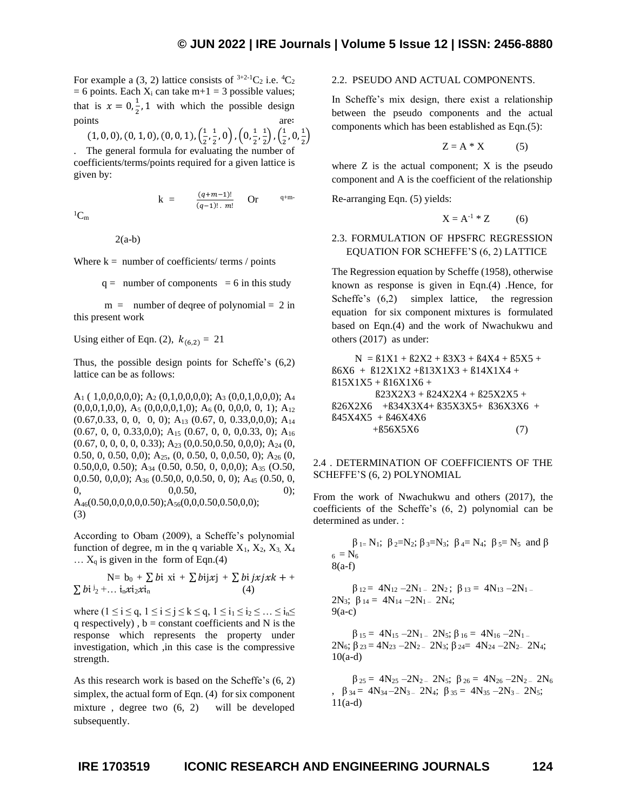For example a (3, 2) lattice consists of  $3+2-1C_2$  i.e.  ${}^4C_2$  $= 6$  points. Each  $X_i$  can take m+1 = 3 possible values; that is  $x = 0, \frac{1}{2}$  $\frac{1}{2}$ , 1 with which the possible design points are∶

$$
(1, 0, 0), (0, 1, 0), (0, 0, 1), (\frac{1}{2}, \frac{1}{2}, 0), (0, \frac{1}{2}, \frac{1}{2}), (\frac{1}{2}, 0, \frac{1}{2})
$$

 $\frac{(q+m-1)!}{(q-1)! \cdot m!}$  Or  $q+m-$ 

. The general formula for evaluating the number of coefficients/terms/points required for a given lattice is given by:

 ${}^{1}C_{m}$ 

 $2(a-b)$ 

Where  $k =$  number of coefficients/ terms / points

 $q =$  number of components = 6 in this study

 $m =$  number of degree of polynomial = 2 in this present work

Using either of Eqn. (2),  $k_{(6,2)} = 21$ 

 $k = \frac{(q+m-1)!}{(q+1)!}$ 

Thus, the possible design points for Scheffe's (6,2) lattice can be as follows:

 $A_1$  ( 1,0,0,0,0,0);  $A_2$  (0,1,0,0,0,0);  $A_3$  (0,0,1,0,0,0);  $A_4$  $(0,0,0,1,0,0), A_5 (0,0,0,0,1,0); A_6 (0, 0,0,0, 0, 1); A_{12}$ (0.67,0.33, 0, 0, 0, 0); A<sup>13</sup> (0.67, 0, 0.33,0,0,0); A<sup>14</sup>  $(0.67, 0, 0, 0.33, 0, 0);$  A<sub>15</sub>  $(0.67, 0, 0, 0.0.33, 0);$  A<sub>16</sub> (0.67, 0, 0, 0, 0, 0.33); A<sup>23</sup> (0,0.50,0.50, 0,0,0); A<sup>24</sup> (0, 0.50, 0, 0.50, 0,0); A25, (0, 0.50, 0, 0,0.50, 0); A<sup>26</sup> (0, 0.50,0,0, 0.50); A<sub>34</sub> (0.50, 0.50, 0, 0,0,0); A<sub>35</sub> (O.50, 0,0.50, 0,0,0); A<sup>36</sup> (0.50,0, 0,0.50, 0, 0); A<sup>45</sup> (0.50, 0,  $0,0.50,$  0);  $A_{46}(0.50,0,0,0,0,0.50); A_{56}(0,0,0.50,0.50,0,0);$ (3)

According to Obam (2009), a Scheffe's polynomial function of degree, m in the q variable  $X_1, X_2, X_3, X_4$  $\ldots$  X<sub>q</sub> is given in the form of Eqn.(4)

N=  $b_0 + \sum bi \xi i + \sum bi j \xi j + \sum bi j \xi j \xi k + \cdots$  $\sum b i^{j}$ <sub>2</sub> + ...  $i_n x i_2 x i_n$  (4)

where  $(1 \le i \le q, 1 \le i \le j \le k \le q, 1 \le i_1 \le i_2 \le \ldots \le i_n \le j$ q respectively),  $b = constant coefficients$  and N is the response which represents the property under investigation, which ,in this case is the compressive strength.

As this research work is based on the Scheffe's (6, 2) simplex, the actual form of Eqn. (4) for six component mixture , degree two (6, 2) will be developed subsequently.

#### 2.2. PSEUDO AND ACTUAL COMPONENTS.

In Scheffe's mix design, there exist a relationship between the pseudo components and the actual components which has been established as Eqn.(5):

$$
Z = A * X \tag{5}
$$

where  $Z$  is the actual component;  $X$  is the pseudo component and A is the coefficient of the relationship

Re-arranging Eqn. (5) yields:

 $X = A^{-1} * Z$  (6)

## 2.3. FORMULATION OF HPSFRC REGRESSION EQUATION FOR SCHEFFE'S (6, 2) LATTICE

The Regression equation by Scheffe (1958), otherwise known as response is given in Eqn.(4) .Hence, for Scheffe's  $(6,2)$  simplex lattice, the regression equation for six component mixtures is formulated based on Eqn.(4) and the work of Nwachukwu and others (2017) as under:

 $N = B1X1 + B2X2 + B3X3 + B4X4 + B5X5 +$ ß6X6 + ß12X1X2 +ß13X1X3 + ß14X1X4 +  $B15X1X5 + B16X1X6 +$  ß23X2X3 + ß24X2X4 + ß25X2X5 + ß26X2X6 +ß34X3X4+ ß35X3X5+ ß36X3X6 + ß45X4X5 + ß46X4X6  $+856X5X6$  (7)

#### 2.4 . DETERMINATION OF COEFFICIENTS OF THE SCHEFFE'S (6, 2) POLYNOMIAL

From the work of Nwachukwu and others (2017), the coefficients of the Scheffe's (6, 2) polynomial can be determined as under. :

 $\beta_{1} = N_1$ ;  $\beta_{2} = N_2$ ;  $\beta_{3} = N_3$ ;  $\beta_{4} = N_4$ ;  $\beta_{5} = N_5$  and  $\beta$  $_6 = N_6$ 8(a-f)

$$
\begin{array}{rl} \beta_{12} = & 4N_{12} - 2N_{1-} \ 2N_{2} \, ; \ \beta_{13} = & 4N_{13} - 2N_{1-} \\ 2N_{3} \, ; \ \beta_{14} = & 4N_{14} - 2N_{1-} \ 2N_{4} \, ; \\ 9(a\text{-}c) \end{array}
$$

 $\beta_{15} = 4N_{15} - 2N_{1} - 2N_{5}$ ;  $\beta_{16} = 4N_{16} - 2N_{1}$ 2N<sub>6</sub>; β<sub>23</sub> = 4N<sub>23</sub> – 2N<sub>2</sub> – 2N<sub>3</sub>; β<sub>24</sub> = 4N<sub>24</sub> – 2N<sub>2</sub> – 2N<sub>4</sub>; 10(a-d)

 $\beta_{25} = 4N_{25} - 2N_{2} - 2N_{5}$ ;  $\beta_{26} = 4N_{26} - 2N_{2} - 2N_{6}$  $\beta_{34} = 4N_{34} - 2N_{3} - 2N_{4}; \ \beta_{35} = 4N_{35} - 2N_{3} - 2N_{5};$ 11(a-d)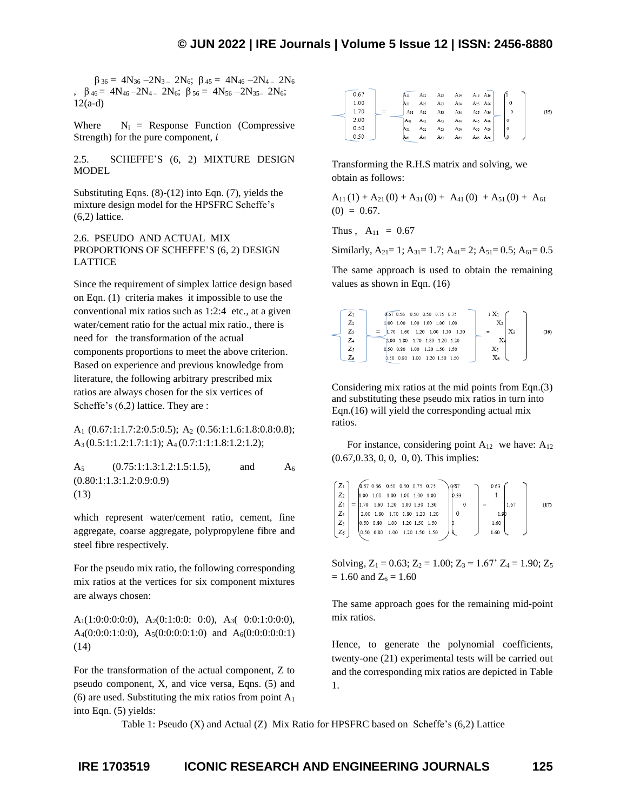$\beta_{36} = 4N_{36} - 2N_{3} - 2N_{6}$ ;  $\beta_{45} = 4N_{46} - 2N_{4} - 2N_{6}$ ,  $\beta_{46} = 4N_{46} - 2N_{4} - 2N_{6}$ ;  $\beta_{56} = 4N_{56} - 2N_{35} - 2N_{6}$ ; 12(a-d)

Where  $N_i$  = Response Function (Compressive Strength) for the pure component,  $i$ 

2.5. SCHEFFE'S (6, 2) MIXTURE DESIGN **MODEL** 

Substituting Eqns. (8)-(12) into Eqn. (7), yields the mixture design model for the HPSFRC Scheffe's (6,2) lattice.

2.6. PSEUDO AND ACTUAL MIX PROPORTIONS OF SCHEFFE'S (6, 2) DESIGN LATTICE

Since the requirement of simplex lattice design based on Eqn. (1) criteria makes it impossible to use the conventional mix ratios such as 1:2:4 etc., at a given water/cement ratio for the actual mix ratio., there is need for the transformation of the actual components proportions to meet the above criterion. Based on experience and previous knowledge from literature, the following arbitrary prescribed mix ratios are always chosen for the six vertices of Scheffe's  $(6,2)$  lattice. They are :

A<sup>1</sup> (0.67:1:1.7:2:0.5:0.5); A<sup>2</sup> (0.56:1:1.6:1.8:0.8:0.8); A3 (0.5:1:1.2:1.7:1:1); A4 (0.7:1:1:1.8:1.2:1.2);

A<sub>5</sub> (0.75:1:1.3:1.2:1.5:1.5), and A<sub>6</sub> (0.80:1:1.3:1.2:0.9:0.9) (13)

which represent water/cement ratio, cement, fine aggregate, coarse aggregate, polypropylene fibre and steel fibre respectively.

For the pseudo mix ratio, the following corresponding mix ratios at the vertices for six component mixtures are always chosen:

A<sub>1</sub>(1:0:0:0:0:0), A<sub>2</sub>(0:1:0:0: 0:0), A<sub>3</sub>( 0:0:1:0:0:0), A<sub>4</sub>(0:0:0:1:0:0), A<sub>5</sub>(0:0:0:0:1:0) and A<sub>6</sub>(0:0:0:0:0:1) (14)

For the transformation of the actual component, Z to pseudo component, X, and vice versa, Eqns. (5) and (6) are used. Substituting the mix ratios from point  $A_1$ into Eqn. (5) yields:

| 0.67 | An       |                                                                 |          |                                 | A <sub>12</sub> A <sub>13</sub> A <sub>14</sub> A <sub>15</sub> A <sub>16</sub> |   |      |
|------|----------|-----------------------------------------------------------------|----------|---------------------------------|---------------------------------------------------------------------------------|---|------|
| 1.00 | $A_{21}$ | A <sub>22</sub> A <sub>23</sub>                                 | $A_{24}$ | A <sub>25</sub> A <sub>26</sub> |                                                                                 |   |      |
| 1.70 |          | A <sub>31</sub> A <sub>32</sub> A <sub>33</sub> A <sub>34</sub> |          | A <sub>35</sub> A <sub>36</sub> |                                                                                 |   | (15) |
| 2.00 | $A_{41}$ | A <sub>42</sub> A <sub>43</sub>                                 | A44      | A45 A46                         |                                                                                 |   |      |
| 0.50 | A51      | A <sub>52</sub> A <sub>53</sub>                                 | $A_{54}$ | A55 A56                         |                                                                                 |   |      |
| 0.50 | A61      | A62 A63 A64                                                     |          | A65 A66                         |                                                                                 | ৩ |      |

Transforming the R.H.S matrix and solving, we obtain as follows:

 $A_{11}(1) + A_{21}(0) + A_{31}(0) + A_{41}(0) + A_{51}(0) + A_{61}$  $(0) = 0.67$ .

Thus ,  $A_{11} = 0.67$ 

Similarly,  $A_{21} = 1$ ;  $A_{31} = 1.7$ ;  $A_{41} = 2$ ;  $A_{51} = 0.5$ ;  $A_{61} = 0.5$ 

The same approach is used to obtain the remaining values as shown in Eqn. (16)



Considering mix ratios at the mid points from Eqn.(3) and substituting these pseudo mix ratios in turn into Eqn.(16) will yield the corresponding actual mix ratios.

For instance, considering point  $A_{12}$  we have:  $A_{12}$ (0.67,0.33, 0, 0, 0, 0). This implies:

$$
\begin{bmatrix} Z_1 \\ Z_2 \\ Z_3 \\ Z_4 \\ Z_5 \\ Z_6 \end{bmatrix} = \begin{bmatrix} 0.67 & 0.56 & 0.50 & 0.50 & 0.75 & 0.75 \\ 1.00 & 1.00 & 1.00 & 1.00 & 1.00 \\ 1.70 & 1.60 & 1.20 & 1.00 & 1.30 \\ 2.00 & 1.80 & 1.70 & 1.80 & 1.20 & 1.50 \\ 0.50 & 0.80 & 1.00 & 1.20 & 1.50 & 1.50 \\ 0.50 & 0.80 & 1.00 & 1.20 & 1.50 & 1.50 \end{bmatrix} \begin{bmatrix} 0.67 \\ 0.33 \\ 0 \\ 0 \\ 0 \\ 0 \end{bmatrix} = \begin{bmatrix} 0.63 \\ 1 \\ 1.67 \\ 1.60 \\ 1.60 \\ 1.60 \end{bmatrix} \tag{17}
$$

Solving,  $Z_1 = 0.63$ ;  $Z_2 = 1.00$ ;  $Z_3 = 1.67$ <sup>o</sup>  $Z_4 = 1.90$ ;  $Z_5 = 1.67$ <sup>o</sup>  $= 1.60$  and  $Z_6 = 1.60$ 

The same approach goes for the remaining mid-point mix ratios.

Hence, to generate the polynomial coefficients, twenty-one (21) experimental tests will be carried out and the corresponding mix ratios are depicted in Table 1.

Table 1: Pseudo (X) and Actual (Z) Mix Ratio for HPSFRC based on Scheffe's (6,2) Lattice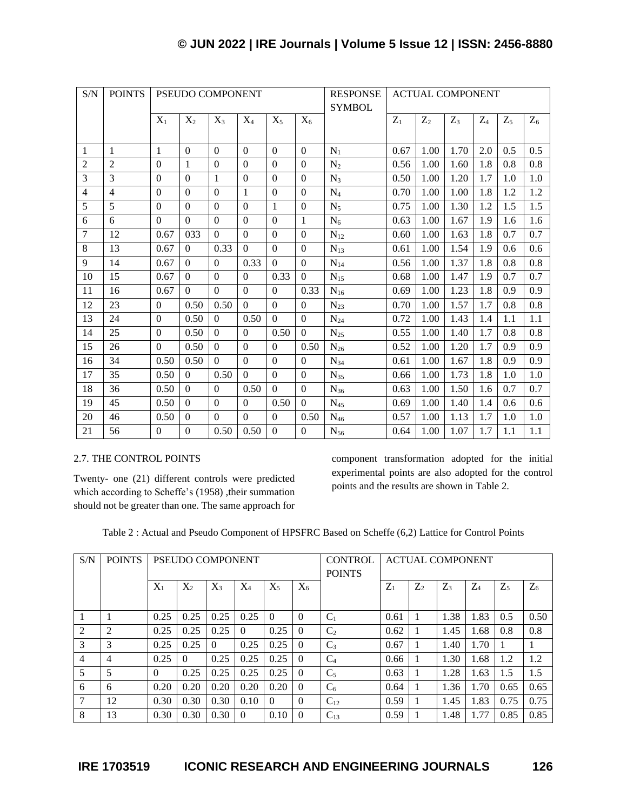| S/N            | <b>POINTS</b>  | PSEUDO COMPONENT |              |                |                |                |                | <b>RESPONSE</b><br><b>SYMBOL</b> |       |       | <b>ACTUAL COMPONENT</b> |       |       |       |
|----------------|----------------|------------------|--------------|----------------|----------------|----------------|----------------|----------------------------------|-------|-------|-------------------------|-------|-------|-------|
|                |                | $X_1$            | $X_2$        | $X_3$          | $X_4$          | $X_5$          | $X_6$          |                                  | $Z_1$ | $Z_2$ | $Z_3$                   | $Z_4$ | $Z_5$ | $Z_6$ |
|                |                |                  |              |                |                |                |                |                                  |       |       |                         |       |       |       |
| -1             | 1              | 1                | $\theta$     | $\mathbf{0}$   | $\Omega$       | $\Omega$       | $\Omega$       | $N_1$                            | 0.67  | 1.00  | 1.70                    | 2.0   | 0.5   | 0.5   |
| $\overline{2}$ | $\overline{2}$ | $\Omega$         | $\mathbf{1}$ | $\Omega$       | $\Omega$       | $\Omega$       | $\Omega$       | $N_2$                            | 0.56  | 1.00  | 1.60                    | 1.8   | 0.8   | 0.8   |
| 3              | 3              | $\Omega$         | $\Omega$     | $\mathbf{1}$   | $\Omega$       | $\Omega$       | $\Omega$       | $N_3$                            | 0.50  | 1.00  | 1.20                    | 1.7   | 1.0   | 1.0   |
| $\overline{4}$ | $\overline{4}$ | $\mathbf{0}$     | $\Omega$     | $\mathbf{0}$   | $\mathbf{1}$   | $\Omega$       | $\overline{0}$ | $N_4$                            | 0.70  | 1.00  | 1.00                    | 1.8   | 1.2   | 1.2   |
| 5              | 5              | $\Omega$         | $\Omega$     | $\mathbf{0}$   | $\Omega$       | $\mathbf{1}$   | $\Omega$       | $N_5$                            | 0.75  | 1.00  | 1.30                    | 1.2   | 1.5   | 1.5   |
| 6              | 6              | $\Omega$         | $\Omega$     | $\Omega$       | $\Omega$       | $\Omega$       | 1              | $N_6$                            | 0.63  | 1.00  | 1.67                    | 1.9   | 1.6   | 1.6   |
| $\overline{7}$ | 12             | 0.67             | 033          | $\mathbf{0}$   | $\Omega$       | $\Omega$       | $\Omega$       | $N_{12}$                         | 0.60  | 1.00  | 1.63                    | 1.8   | 0.7   | 0.7   |
| 8              | 13             | 0.67             | $\Omega$     | 0.33           | $\Omega$       | $\Omega$       | $\Omega$       | $N_{13}$                         | 0.61  | 1.00  | 1.54                    | 1.9   | 0.6   | 0.6   |
| 9              | 14             | 0.67             | $\Omega$     | $\Omega$       | 0.33           | $\Omega$       | $\Omega$       | $N_{14}$                         | 0.56  | 1.00  | 1.37                    | 1.8   | 0.8   | 0.8   |
| 10             | 15             | 0.67             | $\Omega$     | $\Omega$       | $\Omega$       | 0.33           | $\Omega$       | $N_{15}$                         | 0.68  | 1.00  | 1.47                    | 1.9   | 0.7   | 0.7   |
| 11             | 16             | 0.67             | $\theta$     | $\overline{0}$ | $\Omega$       | $\overline{0}$ | 0.33           | $N_{16}$                         | 0.69  | 1.00  | 1.23                    | 1.8   | 0.9   | 0.9   |
| 12             | 23             | $\Omega$         | 0.50         | 0.50           | $\Omega$       | $\Omega$       | $\Omega$       | $N_{23}$                         | 0.70  | 1.00  | 1.57                    | 1.7   | 0.8   | 0.8   |
| 13             | 24             | $\Omega$         | 0.50         | $\Omega$       | 0.50           | $\overline{0}$ | $\Omega$       | $N_{24}$                         | 0.72  | 1.00  | 1.43                    | 1.4   | 1.1   | 1.1   |
| 14             | 25             | $\Omega$         | 0.50         | $\Omega$       | $\Omega$       | 0.50           | $\Omega$       | $N_{25}$                         | 0.55  | 1.00  | 1.40                    | 1.7   | 0.8   | 0.8   |
| 15             | 26             | $\mathbf{0}$     | 0.50         | $\overline{0}$ | $\overline{0}$ | $\overline{0}$ | 0.50           | $\rm N_{26}$                     | 0.52  | 1.00  | 1.20                    | 1.7   | 0.9   | 0.9   |
| 16             | 34             | 0.50             | 0.50         | $\overline{0}$ | $\Omega$       | $\overline{0}$ | $\Omega$       | $N_{34}$                         | 0.61  | 1.00  | 1.67                    | 1.8   | 0.9   | 0.9   |
| 17             | 35             | 0.50             | $\Omega$     | 0.50           | $\Omega$       | $\Omega$       | $\Omega$       | $N_{35}$                         | 0.66  | 1.00  | 1.73                    | 1.8   | 1.0   | 1.0   |
| 18             | 36             | 0.50             | $\Omega$     | $\mathbf{0}$   | 0.50           | $\Omega$       | $\Omega$       | $N_{36}$                         | 0.63  | 1.00  | 1.50                    | 1.6   | 0.7   | 0.7   |
| 19             | 45             | 0.50             | $\Omega$     | $\mathbf{0}$   | $\Omega$       | 0.50           | $\Omega$       | $N_{45}$                         | 0.69  | 1.00  | 1.40                    | 1.4   | 0.6   | 0.6   |
| 20             | 46             | 0.50             | $\Omega$     | $\Omega$       | $\Omega$       | $\Omega$       | 0.50           | $N_{46}$                         | 0.57  | 1.00  | 1.13                    | 1.7   | 1.0   | 1.0   |
| 21             | 56             | $\Omega$         | $\Omega$     | 0.50           | 0.50           | $\Omega$       | $\Omega$       | $N_{56}$                         | 0.64  | 1.00  | 1.07                    | 1.7   | 1.1   | 1.1   |

# 2.7. THE CONTROL POINTS

Twenty- one (21) different controls were predicted which according to Scheffe's (1958) ,their summation should not be greater than one. The same approach for component transformation adopted for the initial experimental points are also adopted for the control points and the results are shown in Table 2.

Table 2 : Actual and Pseudo Component of HPSFRC Based on Scheffe (6,2) Lattice for Control Points

| S/N            | <b>POINTS</b> | PSEUDO COMPONENT |          |          |          | <b>CONTROL</b><br><b>POINTS</b> |                |                | <b>ACTUAL COMPONENT</b> |       |                |       |       |       |
|----------------|---------------|------------------|----------|----------|----------|---------------------------------|----------------|----------------|-------------------------|-------|----------------|-------|-------|-------|
|                |               | $X_1$            | $X_2$    | $X_3$    | $X_4$    | $X_5$                           | X <sub>6</sub> |                | $Z_1$                   | $Z_2$ | Z <sub>3</sub> | $Z_4$ | $Z_5$ | $Z_6$ |
|                |               | 0.25             | 0.25     | 0.25     | 0.25     | $\Omega$                        | $\Omega$       | $C_1$          | 0.61                    |       | 1.38           | 1.83  | 0.5   | 0.50  |
| 2              | 2             | 0.25             | 0.25     | 0.25     | $\Omega$ | 0.25                            | $\Omega$       | C <sub>2</sub> | 0.62                    |       | 1.45           | 1.68  | 0.8   | 0.8   |
| 3              | 3             | 0.25             | 0.25     | $\Omega$ | 0.25     | 0.25                            | $\Omega$       | $C_3$          | 0.67                    |       | 1.40           | 1.70  |       |       |
| $\overline{4}$ | 4             | 0.25             | $\Omega$ | 0.25     | 0.25     | 0.25                            | $\theta$       | $C_4$          | 0.66                    |       | 1.30           | 1.68  | 1.2   | 1.2   |
| 5              | 5             | $\Omega$         | 0.25     | 0.25     | 0.25     | 0.25                            | $\Omega$       | $C_5$          | 0.63                    |       | 1.28           | 1.63  | 1.5   | 1.5   |
| 6              | 6             | 0.20             | 0.20     | 0.20     | 0.20     | 0.20                            | $\theta$       | $C_6$          | 0.64                    |       | 1.36           | 1.70  | 0.65  | 0.65  |
| 7              | 12            | 0.30             | 0.30     | 0.30     | 0.10     | $\Omega$                        | $\Omega$       | $C_{12}$       | 0.59                    |       | 1.45           | 1.83  | 0.75  | 0.75  |
| 8              | 13            | 0.30             | 0.30     | 0.30     | $\Omega$ | 0.10                            | $\Omega$       | $C_{13}$       | 0.59                    |       | 1.48           | 1.77  | 0.85  | 0.85  |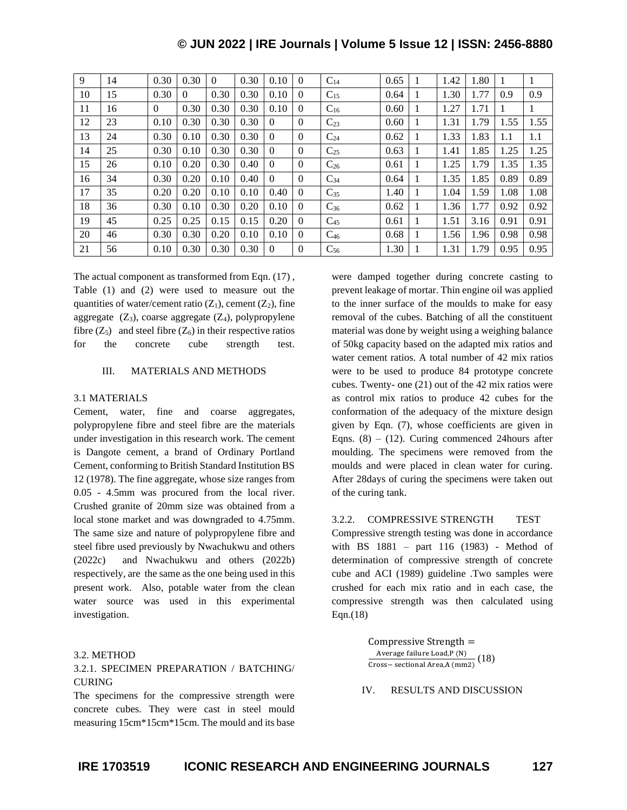| 9  | 14 | 0.30     | 0.30     | $\Omega$ | 0.30 | 0.10     | $\Omega$       | $C_{14}$ | 0.65 |   | 1.42 | 1.80 |      | 1    |
|----|----|----------|----------|----------|------|----------|----------------|----------|------|---|------|------|------|------|
| 10 | 15 | 0.30     | $\Omega$ | 0.30     | 0.30 | 0.10     | $\Omega$       | $C_{15}$ | 0.64 | 1 | 1.30 | 1.77 | 0.9  | 0.9  |
| 11 | 16 | $\theta$ | 0.30     | 0.30     | 0.30 | 0.10     | $\Omega$       | $C_{16}$ | 0.60 |   | 1.27 | 1.71 |      | 1    |
| 12 | 23 | 0.10     | 0.30     | 0.30     | 0.30 | $\Omega$ | $\Omega$       | $C_{23}$ | 0.60 |   | 1.31 | 1.79 | 1.55 | 1.55 |
| 13 | 24 | 0.30     | 0.10     | 0.30     | 0.30 | $\Omega$ | $\Omega$       | $C_{24}$ | 0.62 |   | 1.33 | 1.83 | 1.1  | 1.1  |
| 14 | 25 | 0.30     | 0.10     | 0.30     | 0.30 | $\Omega$ | $\Omega$       | $C_{25}$ | 0.63 | 1 | 1.41 | 1.85 | 1.25 | 1.25 |
| 15 | 26 | 0.10     | 0.20     | 0.30     | 0.40 | $\Omega$ | $\Omega$       | $C_{26}$ | 0.61 | 1 | 1.25 | 1.79 | 1.35 | 1.35 |
| 16 | 34 | 0.30     | 0.20     | 0.10     | 0.40 | $\Omega$ | $\Omega$       | $C_{34}$ | 0.64 | 1 | 1.35 | 1.85 | 0.89 | 0.89 |
| 17 | 35 | 0.20     | 0.20     | 0.10     | 0.10 | 0.40     | $\Omega$       | $C_{35}$ | 1.40 |   | 1.04 | 1.59 | 1.08 | 1.08 |
| 18 | 36 | 0.30     | 0.10     | 0.30     | 0.20 | 0.10     | $\Omega$       | $C_{36}$ | 0.62 |   | 1.36 | 1.77 | 0.92 | 0.92 |
| 19 | 45 | 0.25     | 0.25     | 0.15     | 0.15 | 0.20     | $\Omega$       | $C_{45}$ | 0.61 | 1 | 1.51 | 3.16 | 0.91 | 0.91 |
| 20 | 46 | 0.30     | 0.30     | 0.20     | 0.10 | 0.10     | $\Omega$       | $C_{46}$ | 0.68 |   | 1.56 | 1.96 | 0.98 | 0.98 |
| 21 | 56 | 0.10     | 0.30     | 0.30     | 0.30 | $\Omega$ | $\overline{0}$ | $C_{56}$ | 1.30 |   | 1.31 | 1.79 | 0.95 | 0.95 |

The actual component as transformed from Eqn. (17) , Table (1) and (2) were used to measure out the quantities of water/cement ratio  $(Z_1)$ , cement  $(Z_2)$ , fine aggregate  $(Z_3)$ , coarse aggregate  $(Z_4)$ , polypropylene fibre  $(Z_5)$  and steel fibre  $(Z_6)$  in their respective ratios for the concrete cube strength test.

#### III. MATERIALS AND METHODS

#### 3.1 MATERIALS

Cement, water, fine and coarse aggregates, polypropylene fibre and steel fibre are the materials under investigation in this research work. The cement is Dangote cement, a brand of Ordinary Portland Cement, conforming to British Standard Institution BS 12 (1978). The fine aggregate, whose size ranges from 0.05 - 4.5mm was procured from the local river. Crushed granite of 20mm size was obtained from a local stone market and was downgraded to 4.75mm. The same size and nature of polypropylene fibre and steel fibre used previously by Nwachukwu and others (2022c) and Nwachukwu and others (2022b) respectively, are the same as the one being used in this present work. Also, potable water from the clean water source was used in this experimental investigation.

#### 3.2. METHOD

## 3.2.1. SPECIMEN PREPARATION / BATCHING/ CURING

The specimens for the compressive strength were concrete cubes. They were cast in steel mould measuring 15cm\*15cm\*15cm. The mould and its base were damped together during concrete casting to prevent leakage of mortar. Thin engine oil was applied to the inner surface of the moulds to make for easy removal of the cubes. Batching of all the constituent material was done by weight using a weighing balance of 50kg capacity based on the adapted mix ratios and water cement ratios. A total number of 42 mix ratios were to be used to produce 84 prototype concrete cubes. Twenty- one (21) out of the 42 mix ratios were as control mix ratios to produce 42 cubes for the conformation of the adequacy of the mixture design given by Eqn. (7), whose coefficients are given in Eqns.  $(8) - (12)$ . Curing commenced 24hours after moulding. The specimens were removed from the moulds and were placed in clean water for curing. After 28days of curing the specimens were taken out of the curing tank.

#### 3.2.2. COMPRESSIVE STRENGTH TEST

Compressive strength testing was done in accordance with BS 1881 – part 116 (1983) - Method of determination of compressive strength of concrete cube and ACI (1989) guideline .Two samples were crushed for each mix ratio and in each case, the compressive strength was then calculated using Eqn.(18)

> Compressive Strength = Average failure Load,P (N)  $\frac{Area}{2}$  ranute Load,  $r$  (N)<br>Cross– sectional Area, A (mm2)

IV. RESULTS AND DISCUSSION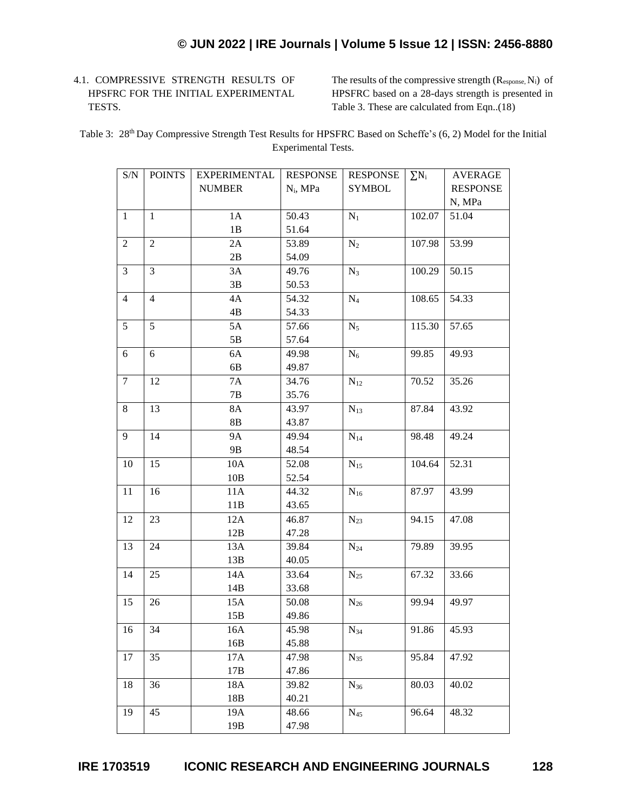# 4.1. COMPRESSIVE STRENGTH RESULTS OF HPSFRC FOR THE INITIAL EXPERIMENTAL TESTS.

The results of the compressive strength  $(R_{\text{esc}}, N_{i})$  of HPSFRC based on a 28-days strength is presented in Table 3. These are calculated from Eqn..(18)

Table 3: 28<sup>th</sup> Day Compressive Strength Test Results for HPSFRC Based on Scheffe's (6, 2) Model for the Initial Experimental Tests.

| S/N            | <b>POINTS</b>  | <b>EXPERIMENTAL</b> | <b>RESPONSE</b> | <b>RESPONSE</b> | $\sum N_i$ | <b>AVERAGE</b>  |
|----------------|----------------|---------------------|-----------------|-----------------|------------|-----------------|
|                |                | <b>NUMBER</b>       | $N_i$ , MPa     | <b>SYMBOL</b>   |            | <b>RESPONSE</b> |
|                |                |                     |                 |                 |            | N, MPa          |
| $\mathbf{1}$   | $\mathbf{1}$   | 1A                  | 50.43           | $N_1$           | 102.07     | 51.04           |
|                |                | 1B                  | 51.64           |                 |            |                 |
| 2              | $\overline{2}$ | 2A                  | 53.89           | $N_2$           | 107.98     | 53.99           |
|                |                | 2B                  | 54.09           |                 |            |                 |
| 3              | $\overline{3}$ | 3A                  | 49.76           | $N_3$           | 100.29     | 50.15           |
|                |                | 3B                  | 50.53           |                 |            |                 |
| $\overline{4}$ | $\overline{4}$ | 4A                  | 54.32           | $N_4$           | 108.65     | 54.33           |
|                |                | 4B                  | 54.33           |                 |            |                 |
| 5              | 5              | 5A                  | 57.66           | $N_5$           | 115.30     | 57.65           |
|                |                | 5B                  | 57.64           |                 |            |                 |
| 6              | 6              | 6A                  | 49.98           | $N_6$           | 99.85      | 49.93           |
|                |                | 6B                  | 49.87           |                 |            |                 |
| $\tau$         | 12             | <b>7A</b>           | 34.76           | $N_{12}$        | 70.52      | 35.26           |
|                |                | 7B                  | 35.76           |                 |            |                 |
| 8              | 13             | 8A                  | 43.97           | $N_{13}$        | 87.84      | 43.92           |
|                |                | $8\mathrm{B}$       | 43.87           |                 |            |                 |
| 9              | 14             | <b>9A</b>           | 49.94           | $N_{14}$        | 98.48      | 49.24           |
|                |                | 9B                  | 48.54           |                 |            |                 |
| 10             | 15             | 10A                 | 52.08           | $N_{15}$        | 104.64     | 52.31           |
|                |                | $10B$               | 52.54           |                 |            |                 |
| 11             | 16             | 11A                 | 44.32           | $N_{16}$        | 87.97      | 43.99           |
|                |                | 11B                 | 43.65           |                 |            |                 |
| 12             | 23             | 12A                 | 46.87           | $N_{23}$        | 94.15      | 47.08           |
|                |                | 12B                 | 47.28           |                 |            |                 |
| 13             | 24             | 13A                 | 39.84           | $\rm N_{24}$    | 79.89      | 39.95           |
|                |                | 13B                 | 40.05           |                 |            |                 |
| 14             | 25             | 14A                 | 33.64           | $N_{25}$        | 67.32      | 33.66           |
|                |                | 14B                 | 33.68           |                 |            |                 |
| 15             | 26             | 15A                 | 50.08           | $N_{26}$        | 99.94      | 49.97           |
|                |                | 15B                 | 49.86           |                 |            |                 |
| 16             | 34             | 16A                 | 45.98           | $N_{34}$        | 91.86      | 45.93           |
|                |                | 16B                 | 45.88           |                 |            |                 |
| 17             | 35             | 17A                 | 47.98           | $N_{35}$        | 95.84      | 47.92           |
|                |                | 17B                 | 47.86           |                 |            |                 |
| 18             | 36             | 18A                 | 39.82           | $N_{36}$        | 80.03      | 40.02           |
|                |                | 18B                 | 40.21           |                 |            |                 |
| 19             | 45             | 19A                 | 48.66           | $\rm N_{45}$    | 96.64      | 48.32           |
|                |                | 19B                 | 47.98           |                 |            |                 |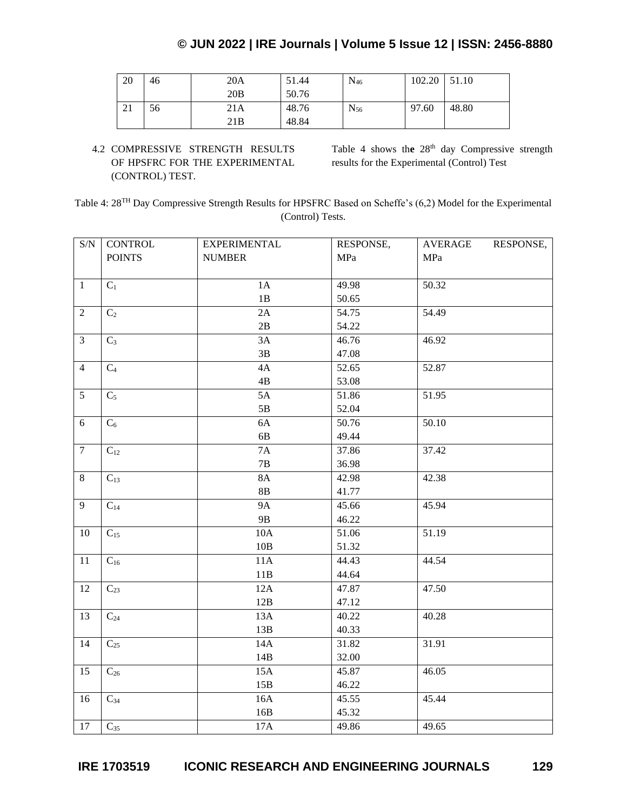| 20 | 46 | 20A  | 51.44 | $N_{46}$ | 102.20 | 51.10 |
|----|----|------|-------|----------|--------|-------|
|    |    | 20B  | 50.76 |          |        |       |
| ∠⊥ | 56 | 21 A | 48.76 | $N_{56}$ | 97.60  | 48.80 |
|    |    | 21B  | 48.84 |          |        |       |

4.2 COMPRESSIVE STRENGTH RESULTS OF HPSFRC FOR THE EXPERIMENTAL (CONTROL) TEST.

Table 4 shows the 28<sup>th</sup> day Compressive strength results for the Experimental (Control) Test

Table 4: 28TH Day Compressive Strength Results for HPSFRC Based on Scheffe's (6,2) Model for the Experimental (Control) Tests.

| $\ensuremath{\mathrm{S/N}}$ | <b>CONTROL</b> | <b>EXPERIMENTAL</b> | RESPONSE, | <b>AVERAGE</b><br>RESPONSE, |
|-----------------------------|----------------|---------------------|-----------|-----------------------------|
|                             | <b>POINTS</b>  | <b>NUMBER</b>       | MPa       | MPa                         |
|                             |                |                     |           |                             |
| $\mathbf{1}$                | $C_1$          | 1A                  | 49.98     | 50.32                       |
|                             |                | $1\mathrm{B}$       | 50.65     |                             |
| $\overline{2}$              | C <sub>2</sub> | 2A                  | 54.75     | 54.49                       |
|                             |                | $2\mathbf{B}$       | 54.22     |                             |
| $\mathfrak{Z}$              | $C_3$          | 3A                  | 46.76     | 46.92                       |
|                             |                | 3B                  | 47.08     |                             |
| $\overline{4}$              | C <sub>4</sub> | 4A                  | 52.65     | 52.87                       |
|                             |                | $4\mathrm{B}$       | 53.08     |                             |
| $\overline{5}$              | $C_5$          | 5A                  | 51.86     | 51.95                       |
|                             |                | $5\mathrm{B}$       | 52.04     |                             |
| 6                           | $C_6$          | 6A                  | 50.76     | 50.10                       |
|                             |                | 6B                  | 49.44     |                             |
| $\tau$                      | $C_{12}$       | $7A$                | 37.86     | 37.42                       |
|                             |                | $7\mathrm{B}$       | 36.98     |                             |
| $8\,$                       | $C_{13}$       | <b>8A</b>           | 42.98     | 42.38                       |
|                             |                | 8B                  | 41.77     |                             |
| 9                           | $C_{14}$       | <b>9A</b>           | 45.66     | 45.94                       |
|                             |                | <b>9B</b>           | 46.22     |                             |
| 10                          | $C_{15}$       | $10A$               | 51.06     | 51.19                       |
|                             |                | $10B$               | 51.32     |                             |
| 11                          | $C_{16}$       | 11A                 | 44.43     | 44.54                       |
|                             |                | 11B                 | 44.64     |                             |
| 12                          | $C_{23}$       | 12A                 | 47.87     | 47.50                       |
|                             |                | 12B                 | 47.12     |                             |
| 13                          | $C_{24}$       | 13A                 | 40.22     | 40.28                       |
|                             |                | 13B                 | 40.33     |                             |
| 14                          | $C_{25}$       | 14A                 | 31.82     | 31.91                       |
|                             |                | 14B                 | 32.00     |                             |
| 15                          | $C_{26}$       | 15A                 | 45.87     | 46.05                       |
|                             |                | 15B                 | 46.22     |                             |
| 16                          | $C_{34}$       | 16A                 | 45.55     | 45.44                       |
|                             |                | 16B                 | 45.32     |                             |
| 17                          | $C_{35}$       | $17A$               | 49.86     | 49.65                       |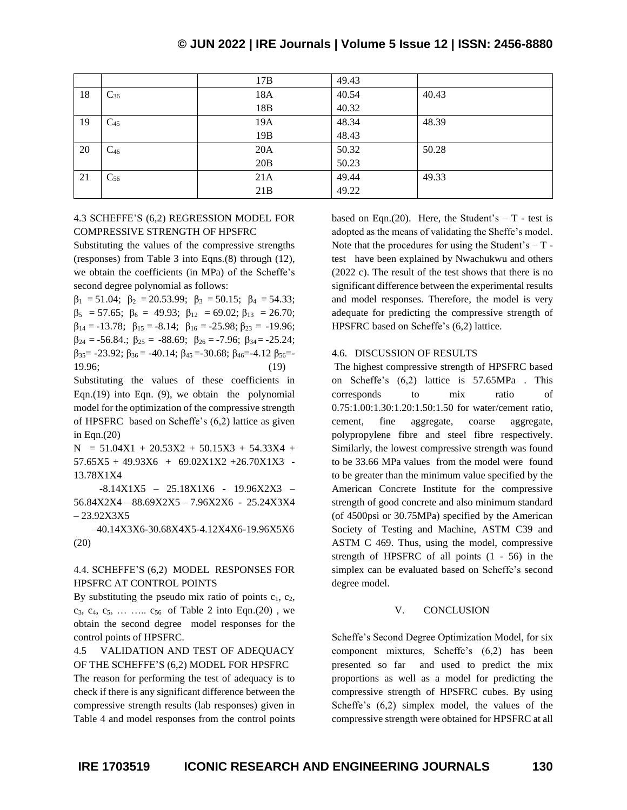|    |          | 17B             | 49.43 |       |
|----|----------|-----------------|-------|-------|
| 18 | $C_{36}$ | 18A             | 40.54 | 40.43 |
|    |          | 18B             | 40.32 |       |
| 19 | $C_{45}$ | 19A             | 48.34 | 48.39 |
|    |          | 19 <sub>B</sub> | 48.43 |       |
| 20 | $C_{46}$ | 20A             | 50.32 | 50.28 |
|    |          | 20B             | 50.23 |       |
| 21 | $C_{56}$ | 21A             | 49.44 | 49.33 |
|    |          | 21B             | 49.22 |       |

#### 4.3 SCHEFFE'S (6,2) REGRESSION MODEL FOR COMPRESSIVE STRENGTH OF HPSFRC

Substituting the values of the compressive strengths (responses) from Table 3 into Eqns.(8) through (12), we obtain the coefficients (in MPa) of the Scheffe's second degree polynomial as follows:

 $β<sub>1</sub> = 51.04; β<sub>2</sub> = 20.53.99; β<sub>3</sub> = 50.15; β<sub>4</sub> = 54.33;$  $\beta_5 = 57.65$ ;  $\beta_6 = 49.93$ ;  $\beta_{12} = 69.02$ ;  $\beta_{13} = 26.70$ ;  $\beta_{14} = -13.78; \ \beta_{15} = -8.14; \ \beta_{16} = -25.98; \beta_{23} = -19.96;$  $\beta_{24} = -56.84$ ;  $\beta_{25} = -88.69$ ;  $\beta_{26} = -7.96$ ;  $\beta_{34} = -25.24$ ;  $β_{35} = -23.92$ ;  $β_{36} = -40.14$ ;  $β_{45} = -30.68$ ;  $β_{46} = -4.12$   $β_{56} = -1.12$ 19.96; (19)

Substituting the values of these coefficients in Eqn.(19) into Eqn. (9), we obtain the polynomial model for the optimization of the compressive strength of HPSFRC based on Scheffe's (6,2) lattice as given in Eqn.(20)

 $N = 51.04X1 + 20.53X2 + 50.15X3 + 54.33X4 +$  $57.65X5 + 49.93X6 + 69.02X1X2 + 26.70X1X3$  -13.78X1X4

 -8.14X1X5 – 25.18X1X6 - 19.96X2X3 – 56.84X2X4 – 88.69X2X5 – 7.96X2X6 - 25.24X3X4 – 23.92X3X5

 –40.14X3X6-30.68X4X5-4.12X4X6-19.96X5X6 (20)

## 4.4. SCHEFFE'S (6,2) MODEL RESPONSES FOR HPSFRC AT CONTROL POINTS

By substituting the pseudo mix ratio of points  $c_1$ ,  $c_2$ , c<sub>3</sub>, c<sub>4</sub>, c<sub>5</sub>, ... ..... c<sub>56</sub> of Table 2 into Eqn.(20), we obtain the second degree model responses for the control points of HPSFRC.

#### 4.5 VALIDATION AND TEST OF ADEQUACY OF THE SCHEFFE'S (6,2) MODEL FOR HPSFRC

The reason for performing the test of adequacy is to check if there is any significant difference between the compressive strength results (lab responses) given in Table 4 and model responses from the control points based on Eqn.(20). Here, the Student's  $-$  T - test is adopted as the means of validating the Sheffe's model. Note that the procedures for using the Student's  $-$  T test have been explained by Nwachukwu and others (2022 c). The result of the test shows that there is no significant difference between the experimental results and model responses. Therefore, the model is very adequate for predicting the compressive strength of HPSFRC based on Scheffe's (6,2) lattice.

#### 4.6. DISCUSSION OF RESULTS

The highest compressive strength of HPSFRC based on Scheffe's (6,2) lattice is 57.65MPa . This corresponds to mix ratio of 0.75:1.00:1.30:1.20:1.50:1.50 for water/cement ratio, cement, fine aggregate, coarse aggregate, polypropylene fibre and steel fibre respectively. Similarly, the lowest compressive strength was found to be 33.66 MPa values from the model were found to be greater than the minimum value specified by the American Concrete Institute for the compressive strength of good concrete and also minimum standard (of 4500psi or 30.75MPa) specified by the American Society of Testing and Machine, ASTM C39 and ASTM C 469. Thus, using the model, compressive strength of HPSFRC of all points (1 - 56) in the simplex can be evaluated based on Scheffe's second degree model.

#### V. CONCLUSION

Scheffe's Second Degree Optimization Model, for six component mixtures, Scheffe's (6,2) has been presented so far and used to predict the mix proportions as well as a model for predicting the compressive strength of HPSFRC cubes. By using Scheffe's (6,2) simplex model, the values of the compressive strength were obtained for HPSFRC at all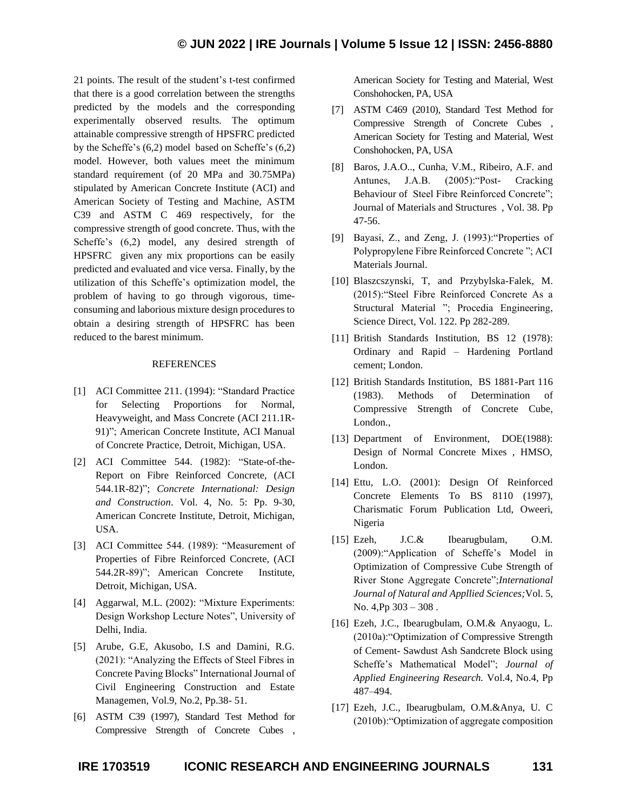21 points. The result of the student's t-test confirmed that there is a good correlation between the strengths predicted by the models and the corresponding experimentally observed results. The optimum attainable compressive strength of HPSFRC predicted by the Scheffe's (6,2) model based on Scheffe's (6,2) model. However, both values meet the minimum standard requirement (of 20 MPa and 30.75MPa) stipulated by American Concrete Institute (ACI) and American Society of Testing and Machine, ASTM C39 and ASTM C 469 respectively, for the compressive strength of good concrete. Thus, with the Scheffe's (6,2) model, any desired strength of HPSFRC given any mix proportions can be easily predicted and evaluated and vice versa. Finally, by the utilization of this Scheffe's optimization model, the problem of having to go through vigorous, timeconsuming and laborious mixture design procedures to obtain a desiring strength of HPSFRC has been reduced to the barest minimum.

#### REFERENCES

- [1] ACI Committee 211. (1994): "Standard Practice for Selecting Proportions for Normal, Heavyweight, and Mass Concrete (ACI 211.1R-91)"; American Concrete Institute, ACI Manual of Concrete Practice, Detroit, Michigan, USA.
- [2] ACI Committee 544. (1982): "State-of-the-Report on Fibre Reinforced Concrete, (ACI 544.1R-82)"; *Concrete International: Design and Construction*. Vol. 4, No. 5: Pp. 9-30, American Concrete Institute, Detroit, Michigan, USA.
- [3] ACI Committee 544. (1989): "Measurement of Properties of Fibre Reinforced Concrete, (ACI 544.2R-89)"; American Concrete Institute, Detroit, Michigan, USA.
- [4] Aggarwal, M.L. (2002): "Mixture Experiments: Design Workshop Lecture Notes", University of Delhi, India.
- [5] Arube, G.E, Akusobo, I.S and Damini, R.G. (2021): "Analyzing the Effects of Steel Fibres in Concrete Paving Blocks" International Journal of Civil Engineering Construction and Estate Managemen, Vol.9, No.2, Pp.38- 51.
- [6] ASTM C39 (1997), Standard Test Method for Compressive Strength of Concrete Cubes ,

American Society for Testing and Material, West Conshohocken, PA, USA

- [7] ASTM C469 (2010), Standard Test Method for Compressive Strength of Concrete Cubes , American Society for Testing and Material, West Conshohocken, PA, USA
- [8] Baros, J.A.O.., Cunha, V.M., Ribeiro, A.F. and Antunes, J.A.B. (2005):"Post- Cracking Behaviour of Steel Fibre Reinforced Concrete"; Journal of Materials and Structures , Vol. 38. Pp 47-56.
- [9] Bayasi, Z., and Zeng, J. (1993):"Properties of Polypropylene Fibre Reinforced Concrete "; ACI Materials Journal.
- [10] Blaszcszynski, T, and Przybylska-Falek, M. (2015):"Steel Fibre Reinforced Concrete As a Structural Material "; Procedia Engineering, Science Direct, Vol. 122. Pp 282-289.
- [11] British Standards Institution, BS 12 (1978): Ordinary and Rapid – Hardening Portland cement; London.
- [12] British Standards Institution, BS 1881-Part 116 (1983). Methods of Determination of Compressive Strength of Concrete Cube, London.,
- [13] Department of Environment, DOE(1988): Design of Normal Concrete Mixes , HMSO, London.
- [14] Ettu, L.O. (2001): Design Of Reinforced Concrete Elements To BS 8110 (1997), Charismatic Forum Publication Ltd, Oweeri, Nigeria
- [15] Ezeh, J.C.& Ibearugbulam, O.M. (2009):"Application of Scheffe's Model in Optimization of Compressive Cube Strength of River Stone Aggregate Concrete";*International Journal of Natural and Appllied Sciences;*Vol. 5, No. 4,Pp 303 – 308 .
- [16] Ezeh, J.C., Ibearugbulam, O.M.& Anyaogu, L. (2010a):"Optimization of Compressive Strength of Cement- Sawdust Ash Sandcrete Block using Scheffe's Mathematical Model"; *Journal of Applied Engineering Research.* Vol.4, No.4, Pp 487–494.
- [17] Ezeh, J.C., Ibearugbulam, O.M.&Anya, U. C (2010b):"Optimization of aggregate composition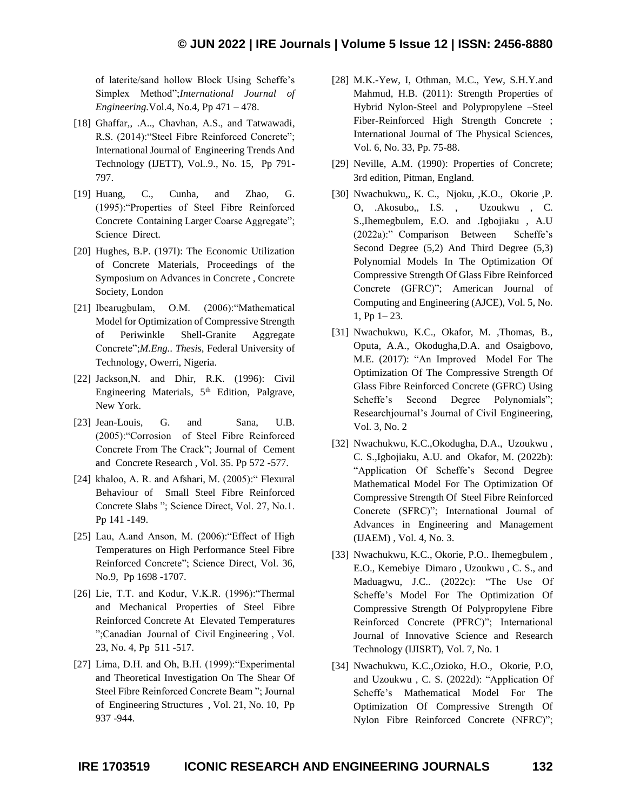of laterite/sand hollow Block Using Scheffe's Simplex Method";*International Journal of Engineering.*Vol.4, No.4, Pp 471 – 478.

- [18] Ghaffar,, .A.., Chavhan, A.S., and Tatwawadi, R.S. (2014):"Steel Fibre Reinforced Concrete"; International Journal of Engineering Trends And Technology (IJETT), Vol..9., No. 15, Pp 791- 797.
- [19] Huang, C., Cunha, and Zhao, G. (1995):"Properties of Steel Fibre Reinforced Concrete Containing Larger Coarse Aggregate"; Science Direct.
- [20] Hughes, B.P. (197I): The Economic Utilization of Concrete Materials, Proceedings of the Symposium on Advances in Concrete , Concrete Society, London
- [21] Ibearugbulam, O.M. (2006):"Mathematical Model for Optimization of Compressive Strength of Periwinkle Shell-Granite Aggregate Concrete";*M.Eng.. Thesis,* Federal University of Technology, Owerri, Nigeria.
- [22] Jackson, N. and Dhir, R.K. (1996): Civil Engineering Materials, 5<sup>th</sup> Edition, Palgrave, New York.
- [23] Jean-Louis, G. and Sana, U.B. (2005):"Corrosion of Steel Fibre Reinforced Concrete From The Crack"; Journal of Cement and Concrete Research , Vol. 35. Pp 572 -577.
- [24] khaloo, A. R. and Afshari, M. (2005):" Flexural Behaviour of Small Steel Fibre Reinforced Concrete Slabs "; Science Direct, Vol. 27, No.1. Pp 141 -149.
- [25] Lau, A.and Anson, M. (2006): "Effect of High Temperatures on High Performance Steel Fibre Reinforced Concrete"; Science Direct, Vol. 36, No.9, Pp 1698 -1707.
- [26] Lie, T.T. and Kodur, V.K.R. (1996): "Thermal and Mechanical Properties of Steel Fibre Reinforced Concrete At Elevated Temperatures ";Canadian Journal of Civil Engineering , Vol. 23, No. 4, Pp 511 -517.
- [27] Lima, D.H. and Oh, B.H. (1999):"Experimental and Theoretical Investigation On The Shear Of Steel Fibre Reinforced Concrete Beam "; Journal of Engineering Structures , Vol. 21, No. 10, Pp 937 -944.
- [28] M.K.-Yew, I, Othman, M.C., Yew, S.H.Y.and Mahmud, H.B. (2011): Strength Properties of Hybrid Nylon-Steel and Polypropylene –Steel Fiber-Reinforced High Strength Concrete ; International Journal of The Physical Sciences, Vol. 6, No. 33, Pp. 75-88.
- [29] Neville, A.M. (1990): Properties of Concrete; 3rd edition, Pitman, England.
- [30] Nwachukwu,, K. C., Njoku, ,K.O., Okorie ,P. O, .Akosubo,, I.S. , Uzoukwu , C. S.,Ihemegbulem, E.O. and .Igbojiaku , A.U (2022a):" Comparison Between Scheffe's Second Degree (5,2) And Third Degree (5,3) Polynomial Models In The Optimization Of Compressive Strength Of Glass Fibre Reinforced Concrete (GFRC)"; American Journal of Computing and Engineering (AJCE), Vol. 5, No. 1, Pp 1– 23.
- [31] Nwachukwu, K.C., Okafor, M. ,Thomas, B., Oputa, A.A., Okodugha,D.A. and Osaigbovo, M.E. (2017): "An Improved Model For The Optimization Of The Compressive Strength Of Glass Fibre Reinforced Concrete (GFRC) Using Scheffe's Second Degree Polynomials"; Researchjournal's Journal of Civil Engineering, Vol. 3, No. 2
- [32] Nwachukwu, K.C.,Okodugha, D.A., Uzoukwu , C. S.,Igbojiaku, A.U. and Okafor, M. (2022b): "Application Of Scheffe's Second Degree Mathematical Model For The Optimization Of Compressive Strength Of Steel Fibre Reinforced Concrete (SFRC)"; International Journal of Advances in Engineering and Management (IJAEM) , Vol. 4, No. 3.
- [33] Nwachukwu, K.C., Okorie, P.O.. Ihemegbulem, E.O., Kemebiye Dimaro , Uzoukwu , C. S., and Maduagwu, J.C.. (2022c): "The Use Of Scheffe's Model For The Optimization Of Compressive Strength Of Polypropylene Fibre Reinforced Concrete (PFRC)"; International Journal of Innovative Science and Research Technology (IJISRT), Vol. 7, No. 1
- [34] Nwachukwu, K.C.,Ozioko, H.O., Okorie, P.O, and Uzoukwu , C. S. (2022d): "Application Of Scheffe's Mathematical Model For The Optimization Of Compressive Strength Of Nylon Fibre Reinforced Concrete (NFRC)";